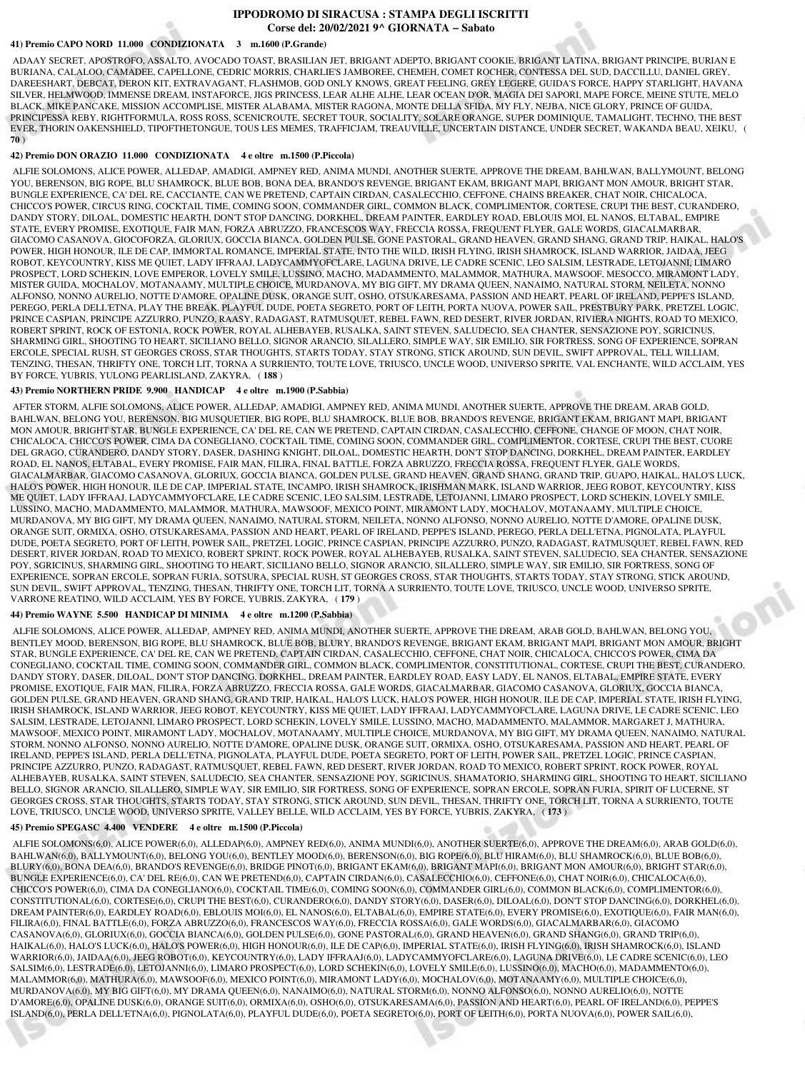# **IPPODROMO DI SIRACUSA : STAMPA DEGLI ISCRITTI Corse del: 20/02/2021 9^ GIORNATA − Sabato**

## **41) Premio CAPO NORD 11.000 CONDIZIONATA 3 m.1600 (P.Grande)**

 ADAAY SECRET, APOSTROFO, ASSALTO, AVOCADO TOAST, BRASILIAN JET, BRIGANT ADEPTO, BRIGANT COOKIE, BRIGANT LATINA, BRIGANT PRINCIPE, BURIAN E BURIANA, CALALOO, CAMADEE, CAPELLONE, CEDRIC MORRIS, CHARLIE'S JAMBOREE, CHEMEH, COMET ROCHER, CONTESSA DEL SUD, DACCILLU, DANIEL GREY, DAREESHART, DEBCAT, DERON KIT, EXTRAVAGANT, FLASHMOB, GOD ONLY KNOWS, GREAT FEELING, GREY LEGERE, GUIDA'S FORCE, HAPPY STARLIGHT, HAVANA SILVER, HELMWOOD, IMMENSE DREAM, INSTAFORCE, JIGS PRINCESS, LEAR ALHE ALHE, LEAR OCEAN D'OR, MAGIA DEI SAPORI, MAPE FORCE, MEINE STUTE, MELO BLACK, MIKE PANCAKE, MISSION ACCOMPLISE, MISTER ALABAMA, MISTER RAGONA, MONTE DELLA SFIDA, MY FLY, NEJBA, NICE GLORY, PRINCE OF GUIDA, PRINCIPESSA REBY, RIGHTFORMULA, ROSS ROSS, SCENICROUTE, SECRET TOUR, SOCIALITY, SOLARE ORANGE, SUPER DOMINIQUE, TAMALIGHT, TECHNO, THE BEST EVER, THORIN OAKENSHIELD, TIPOFTHETONGUE, TOUS LES MEMES, TRAFFICJAM, TREAUVILLE, UNCERTAIN DISTANCE, UNDER SECRET, WAKANDA BEAU, XEIKU, ( **70** )

# **42) Premio DON ORAZIO 11.000 CONDIZIONATA 4 e oltre m.1500 (P.Piccola)**

 ALFIE SOLOMONS, ALICE POWER, ALLEDAP, AMADIGI, AMPNEY RED, ANIMA MUNDI, ANOTHER SUERTE, APPROVE THE DREAM, BAHLWAN, BALLYMOUNT, BELONG YOU, BERENSON, BIG ROPE, BLU SHAMROCK, BLUE BOB, BONA DEA, BRANDO'S REVENGE, BRIGANT EKAM, BRIGANT MAPI, BRIGANT MON AMOUR, BRIGHT STAR BUNGLE EXPERIENCE, CA' DEL RE, CACCIANTE, CAN WE PRETEND, CAPTAIN CIRDAN, CASALECCHIO, CEFFONE, CHAINS BREAKER, CHAT NOIR, CHICALOCA, CHICCO'S POWER, CIRCUS RING, COCKTAIL TIME, COMING SOON, COMMANDER GIRL, COMMON BLACK, COMPLIMENTOR, CORTESE, CRUPI THE BEST, CURANDERO, DANDY STORY, DILOAL, DOMESTIC HEARTH, DON'T STOP DANCING, DORKHEL, DREAM PAINTER, EARDLEY ROAD, EBLOUIS MOI, EL NANOS, ELTABAL, EMPIRE STATE, EVERY PROMISE, EXOTIQUE, FAIR MAN, FORZA ABRUZZO, FRANCESCOS WAY, FRECCIA ROSSA, FREQUENT FLYER, GALE WORDS, GIACALMARBAR, GIACOMO CASANOVA, GIOCOFORZA, GLORIUX, GOCCIA BIANCA, GOLDEN PULSE, GONE PASTORAL, GRAND HEAVEN, GRAND SHANG, GRAND TRIP, HAIKAL, HALO'S POWER, HIGH HONOUR, ILE DE CAP, IMMORTAL ROMANCE, IMPERIAL STATE, INTO THE WILD, IRISH FLYING, IRISH SHAMROCK, ISLAND WARRIOR, JAIDAA, JEEG ROBOT, KEYCOUNTRY, KISS ME QUIET, LADY IFFRAAJ, LADYCAMMYOFCLARE, LAGUNA DRIVE, LE CADRE SCENIC, LEO SALSIM, LESTRADE, LETOJANNI, LIMARO PROSPECT, LORD SCHEKIN, LOVE EMPEROR, LOVELY SMILE, LUSSINO, MACHO, MADAMMENTO, MALAMMOR, MATHURA, MAWSOOF, MESOCCO, MIRAMONT LADY, MISTER GUIDA, MOCHALOV, MOTANAAMY, MULTIPLE CHOICE, MURDANOVA, MY BIG GIFT, MY DRAMA QUEEN, NANAIMO, NATURAL STORM, NEILETA, NONNO ALFONSO, NONNO AURELIO, NOTTE D'AMORE, OPALINE DUSK, ORANGE SUIT, OSHO, OTSUKARESAMA, PASSION AND HEART, PEARL OF IRELAND, PEPPE'S ISLAND, PEREGO, PERLA DELL'ETNA, PLAY THE BREAK, PLAYFUL DUDE, POETA SEGRETO, PORT OF LEITH, PORTA NUOVA, POWER SAIL, PRESTBURY PARK, PRETZEL LOGIC, PRINCE CASPIAN, PRINCIPE AZZURRO, PUNZO, RAASY, RADAGAST, RATMUSQUET, REBEL FAWN, RED DESERT, RIVER JORDAN, RIVIERA NIGHTS, ROAD TO MEXICO, ROBERT SPRINT, ROCK OF ESTONIA, ROCK POWER, ROYAL ALHEBAYEB, RUSALKA, SAINT STEVEN, SALUDECIO, SEA CHANTER, SENSAZIONE POY, SGRICINUS, SHARMING GIRL, SHOOTING TO HEART, SICILIANO BELLO, SIGNOR ARANCIO, SILALLERO, SIMPLE WAY, SIR EMILIO, SIR FORTRESS, SONG OF EXPERIENCE, SOPRAN ERCOLE, SPECIAL RUSH, ST GEORGES CROSS, STAR THOUGHTS, STARTS TODAY, STAY STRONG, STICK AROUND, SUN DEVIL, SWIFT APPROVAL, TELL WILLIAM, TENZING, THESAN, THRIFTY ONE, TORCH LIT, TORNA A SURRIENTO, TOUTE LOVE, TRIUSCO, UNCLE WOOD, UNIVERSO SPRITE, VAL ENCHANTE, WILD ACCLAIM, YES BY FORCE, YUBRIS, YULONG PEARLISLAND, ZAKYRA, ( **188** )

#### **43) Premio NORTHERN PRIDE 9.900 HANDICAP 4 e oltre m.1900 (P.Sabbia)**

 AFTER STORM, ALFIE SOLOMONS, ALICE POWER, ALLEDAP, AMADIGI, AMPNEY RED, ANIMA MUNDI, ANOTHER SUERTE, APPROVE THE DREAM, ARAB GOLD, BAHLWAN, BELONG YOU, BERENSON, BIG MUSQUETIER, BIG ROPE, BLU SHAMROCK, BLUE BOB, BRANDO'S REVENGE, BRIGANT EKAM, BRIGANT MAPI, BRIGANT MON AMOUR, BRIGHT STAR, BUNGLE EXPERIENCE, CA' DEL RE, CAN WE PRETEND, CAPTAIN CIRDAN, CASALECCHIO, CEFFONE, CHANGE OF MOON, CHAT NOIR, CHICALOCA, CHICCO'S POWER, CIMA DA CONEGLIANO, COCKTAIL TIME, COMING SOON, COMMANDER GIRL, COMPLIMENTOR, CORTESE, CRUPI THE BEST, CUORE DEL GRAGO, CURANDERO, DANDY STORY, DASER, DASHING KNIGHT, DILOAL, DOMESTIC HEARTH, DON'T STOP DANCING, DORKHEL, DREAM PAINTER, EARDLEY ROAD, EL NANOS, ELTABAL, EVERY PROMISE, FAIR MAN, FILIRA, FINAL BATTLE, FORZA ABRUZZO, FRECCIA ROSSA, FREQUENT FLYER, GALE WORDS, GIACALMARBAR, GIACOMO CASANOVA, GLORIUX, GOCCIA BIANCA, GOLDEN PULSE, GRAND HEAVEN, GRAND SHANG, GRAND TRIP, GUAPO, HAIKAL, HALO'S LUCK, HALO'S POWER, HIGH HONOUR, ILE DE CAP, IMPERIAL STATE, INCAMPO, IRISH SHAMROCK, IRISHMAN MARK, ISLAND WARRIOR, JEEG ROBOT, KEYCOUNTRY, KISS ME QUIET, LADY IFFRAAJ, LADYCAMMYOFCLARE, LE CADRE SCENIC, LEO SALSIM, LESTRADE, LETOJANNI, LIMARO PROSPECT, LORD SCHEKIN, LOVELY SMILE, LUSSINO, MACHO, MADAMMENTO, MALAMMOR, MATHURA, MAWSOOF, MEXICO POINT, MIRAMONT LADY, MOCHALOV, MOTANAAMY, MULTIPLE CHOICE, MURDANOVA, MY BIG GIFT, MY DRAMA QUEEN, NANAIMO, NATURAL STORM, NEILETA, NONNO ALFONSO, NONNO AURELIO, NOTTE D'AMORE, OPALINE DUSK, ORANGE SUIT, ORMIXA, OSHO, OTSUKARESAMA, PASSION AND HEART, PEARL OF IRELAND, PEPPE'S ISLAND, PEREGO, PERLA DELL'ETNA, PIGNOLATA, PLAYFUL DUDE, POETA SEGRETO, PORT OF LEITH, POWER SAIL, PRETZEL LOGIC, PRINCE CASPIAN, PRINCIPE AZZURRO, PUNZO, RADAGAST, RATMUSQUET, REBEL FAWN, RED DESERT, RIVER JORDAN, ROAD TO MEXICO, ROBERT SPRINT, ROCK POWER, ROYAL ALHEBAYEB, RUSALKA, SAINT STEVEN, SALUDECIO, SEA CHANTER, SENSAZIONE POY, SGRICINUS, SHARMING GIRL, SHOOTING TO HEART, SICILIANO BELLO, SIGNOR ARANCIO, SILALLERO, SIMPLE WAY, SIR EMILIO, SIR FORTRESS, SONG OF EXPERIENCE, SOPRAN ERCOLE, SOPRAN FURIA, SOTSURA, SPECIAL RUSH, ST GEORGES CROSS, STAR THOUGHTS, STARTS TODAY, STAY STRONG, STICK AROUND, SUN DEVIL, SWIFT APPROVAL, TENZING, THESAN, THRIFTY ONE, TORCH LIT, TORNA A SURRIENTO, TOUTE LOVE, TRIUSCO, UNCLE WOOD, UNIVERSO SPRITE, VARRONE REATINO, WILD ACCLAIM, YES BY FORCE, YUBRIS, ZAKYRA, ( **179** )

## **44) Premio WAYNE 5.500 HANDICAP DI MINIMA 4 e oltre m.1200 (P.Sabbia)**

 ALFIE SOLOMONS, ALICE POWER, ALLEDAP, AMPNEY RED, ANIMA MUNDI, ANOTHER SUERTE, APPROVE THE DREAM, ARAB GOLD, BAHLWAN, BELONG YOU, BENTLEY MOOD, BERENSON, BIG ROPE, BLU SHAMROCK, BLUE BOB, BLURY, BRANDO'S REVENGE, BRIGANT EKAM, BRIGANT MAPI, BRIGANT MON AMOUR, BRIGHT STAR, BUNGLE EXPERIENCE, CA' DEL RE, CAN WE PRETEND, CAPTAIN CIRDAN, CASALECCHIO, CEFFONE, CHAT NOIR, CHICALOCA, CHICCO'S POWER, CIMA DA CONEGLIANO, COCKTAIL TIME, COMING SOON, COMMANDER GIRL, COMMON BLACK, COMPLIMENTOR, CONSTITUTIONAL, CORTESE, CRUPI THE BEST, CURANDERO, DANDY STORY, DASER, DILOAL, DON'T STOP DANCING, DORKHEL, DREAM PAINTER, EARDLEY ROAD, EASY LADY, EL NANOS, ELTABAL, EMPIRE STATE, EVERY PROMISE, EXOTIQUE, FAIR MAN, FILIRA, FORZA ABRUZZO, FRECCIA ROSSA, GALE WORDS, GIACALMARBAR, GIACOMO CASANOVA, GLORIUX, GOCCIA BIANCA, GOLDEN PULSE, GRAND HEAVEN, GRAND SHANG, GRAND TRIP, HAIKAL, HALO'S LUCK, HALO'S POWER, HIGH HONOUR, ILE DE CAP, IMPERIAL STATE, IRISH FLYING, IRISH SHAMROCK, ISLAND WARRIOR, JEEG ROBOT, KEYCOUNTRY, KISS ME QUIET, LADY IFFRAAJ, LADYCAMMYOFCLARE, LAGUNA DRIVE, LE CADRE SCENIC, LEO SALSIM, LESTRADE, LETOJANNI, LIMARO PROSPECT, LORD SCHEKIN, LOVELY SMILE, LUSSINO, MACHO, MADAMMENTO, MALAMMOR, MARGARET J, MATHURA, MAWSOOF, MEXICO POINT, MIRAMONT LADY, MOCHALOV, MOTANAAMY, MULTIPLE CHOICE, MURDANOVA, MY BIG GIFT, MY DRAMA QUEEN, NANAIMO, NATURAL STORM, NONNO ALFONSO, NONNO AURELIO, NOTTE D'AMORE, OPALINE DUSK, ORANGE SUIT, ORMIXA, OSHO, OTSUKARESAMA, PASSION AND HEART, PEARL OF IRELAND, PEPPE'S ISLAND, PERLA DELL'ETNA, PIGNOLATA, PLAYFUL DUDE, POETA SEGRETO, PORT OF LEITH, POWER SAIL, PRETZEL LOGIC, PRINCE CASPIAN, PRINCIPE AZZURRO, PUNZO, RADAGAST, RATMUSQUET, REBEL FAWN, RED DESERT, RIVER JORDAN, ROAD TO MEXICO, ROBERT SPRINT, ROCK POWER, ROYAL ALHEBAYEB, RUSALKA, SAINT STEVEN, SALUDECIO, SEA CHANTER, SENSAZIONE POY, SGRICINUS, SHAMATORIO, SHARMING GIRL, SHOOTING TO HEART, SICILIANO BELLO, SIGNOR ARANCIO, SILALLERO, SIMPLE WAY, SIR EMILIO, SIR FORTRESS, SONG OF EXPERIENCE, SOPRAN ERCOLE, SOPRAN FURIA, SPIRIT OF LUCERNE, ST GEORGES CROSS, STAR THOUGHTS, STARTS TODAY, STAY STRONG, STICK AROUND, SUN DEVIL, THESAN, THRIFTY ONE, TORCH LIT, TORNA A SURRIENTO, TOUTE LOVE, TRIUSCO, UNCLE WOOD, UNIVERSO SPRITE, VALLEY BELLE, WILD ACCLAIM, YES BY FORCE, YUBRIS, ZAKYRA, ( **173** )

#### **45) Premio SPEGASC 4.400 VENDERE 4 e oltre m.1500 (P.Piccola)**

 ALFIE SOLOMONS(6,0), ALICE POWER(6,0), ALLEDAP(6,0), AMPNEY RED(6,0), ANIMA MUNDI(6,0), ANOTHER SUERTE(6,0), APPROVE THE DREAM(6,0), ARAB GOLD(6,0), BAHLWAN(6,0), BALLYMOUNT(6,0), BELONG YOU(6,0), BENTLEY MOOD(6,0), BERENSON(6,0), BIG ROPE(6,0), BLU HIRAM(6,0), BLU SHAMROCK(6,0), BLUE BOB(6,0), BLURY(6,0), BONA DEA(6,0), BRANDO'S REVENGE(6,0), BRIDGE PINOT(6,0), BRIGANT EKAM(6,0), BRIGANT MAPI(6,0), BRIGANT MON AMOUR(6,0), BRIGHT STAR(6,0), BUNGLE EXPERIENCE(6,0), CA' DEL RE(6,0), CAN WE PRETEND(6,0), CAPTAIN CIRDAN(6,0), CASALECCHIO(6,0), CEFFONE(6,0), CHAT NOIR(6,0), CHICALOCA(6,0), CHICCO'S POWER(6,0), CIMA DA CONEGLIANO(6,0), COCKTAIL TIME(6,0), COMING SOON(6,0), COMMANDER GIRL(6,0), COMMON BLACK(6,0), COMPLIMENTOR(6,0), CONSTITUTIONAL(6,0), CORTESE(6,0), CRUPI THE BEST(6,0), CURANDERO(6,0), DANDY STORY(6,0), DASER(6,0), DILOAL(6,0), DON'T STOP DANCING(6,0), DORKHEL(6,0), DREAM PAINTER(6,0), EARDLEY ROAD(6,0), EBLOUIS MOI(6,0), EL NANOS(6,0), ELTABAL(6,0), EMPIRE STATE(6,0), EVERY PROMISE(6,0), EXOTIQUE(6,0), FAIR MAN(6,0), FILIRA(6,0), FINAL BATTLE(6,0), FORZA ABRUZZO(6,0), FRANCESCOS WAY(6,0), FRECCIA ROSSA(6,0), GALE WORDS(6,0), GIACALMARBAR(6,0), GIACOMO CASANOVA(6,0), GLORIUX(6,0), GOCCIA BIANCA(6,0), GOLDEN PULSE(6,0), GONE PASTORAL(6,0), GRAND HEAVEN(6,0), GRAND SHANG(6,0), GRAND TRIP(6,0), HAIKAL(6,0), HALO'S LUCK(6,0), HALO'S POWER(6,0), HIGH HONOUR(6,0), ILE DE CAP(6,0), IMPERIAL STATE(6,0), IRISH FLYING(6,0), IRISH SHAMROCK(6,0), ISLAND WARRIOR(6,0), JAIDAA(6,0), JEEG ROBOT(6,0), KEYCOUNTRY(6,0), LADY IFFRAAJ(6,0), LADYCAMMYOFCLARE(6,0), LAGUNA DRIVE(6,0), LE CADRE SCENIC(6,0), LEO SALSIM(6,0), LESTRADE(6,0), LETOJANNI(6,0), LIMARO PROSPECT(6,0), LORD SCHEKIN(6,0), LOVELY SMILE(6,0), LUSSINO(6,0), MACHO(6,0), MADAMMENTO(6,0), MALAMMOR(6,0), MATHURA(6,0), MAWSOOF(6,0), MEXICO POINT(6,0), MIRAMONT LADY(6,0), MOCHALOV(6,0), MOTANAAMY(6,0), MULTIPLE CHOICE(6,0), MURDANOVA(6,0), MY BIG GIFT(6,0), MY DRAMA QUEEN(6,0), NANAIMO(6,0), NATURAL STORM(6,0), NONNO ALFONSO(6,0), NONNO AURELIO(6,0), NOTTE D'AMORE(6,0), OPALINE DUSK(6,0), ORANGE SUIT(6,0), ORMIXA(6,0), OSHO(6,0), OTSUKARESAMA(6,0), PASSION AND HEART(6,0), PEARL OF IRELAND(6,0), PEPPE'S ISLAND(6,0), PERLA DELL'ETNA(6,0), PIGNOLATA(6,0), PLAYFUL DUDE(6,0), POETA SEGRETO(6,0), PORT OF LEITH(6,0), PORTA NUOVA(6,0), POWER SAIL(6,0),